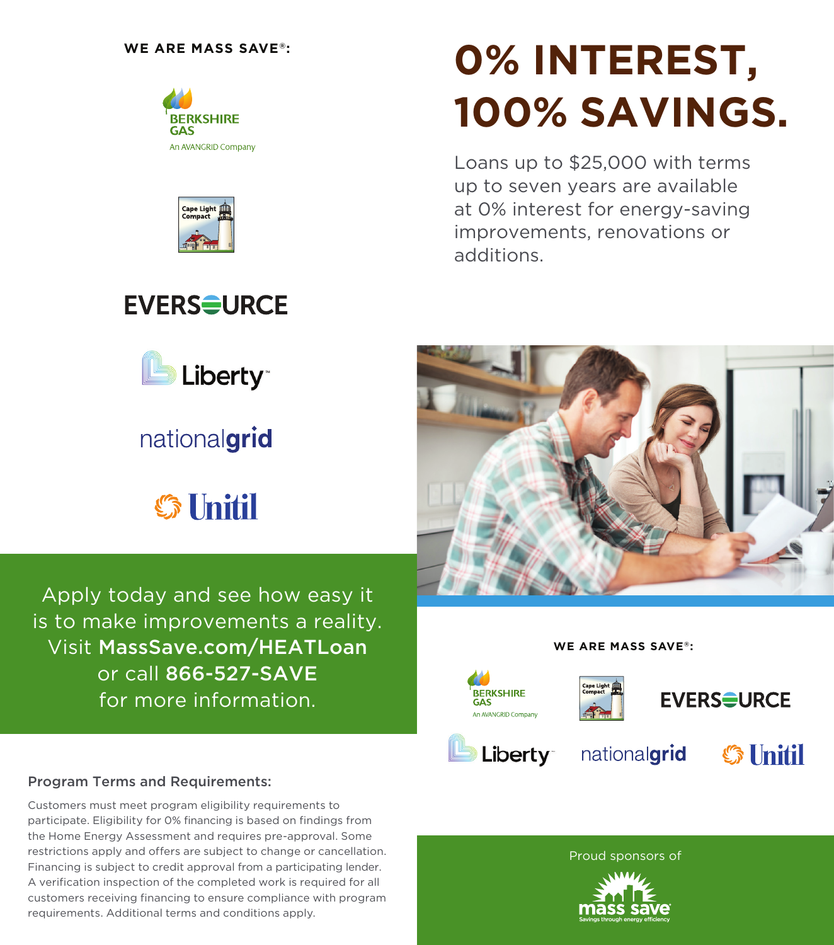



**EVERS<del>S</del>URCE** 

Liberty<sup>®</sup>

nationalgrid

**S** Unitil

# **0% INTEREST, 100% SAVINGS.**

Loans up to \$25,000 with terms up to seven years are available at 0% interest for energy-saving improvements, renovations or additions.







#### Program Terms and Requirements:

Customers must meet program eligibility requirements to participate. Eligibility for 0% financing is based on findings from the Home Energy Assessment and requires pre-approval. Some restrictions apply and offers are subject to change or cancellation. Financing is subject to credit approval from a participating lender. A verification inspection of the completed work is required for all customers receiving financing to ensure compliance with program requirements. Additional terms and conditions apply.

#### Proud sponsors of